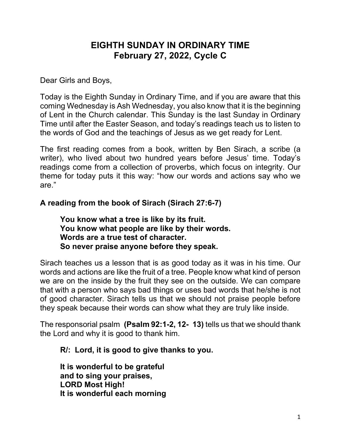# EIGHTH SUNDAY IN ORDINARY TIME February 27, 2022, Cycle C

Dear Girls and Boys,

Today is the Eighth Sunday in Ordinary Time, and if you are aware that this coming Wednesday is Ash Wednesday, you also know that it is the beginning of Lent in the Church calendar. This Sunday is the last Sunday in Ordinary Time until after the Easter Season, and today's readings teach us to listen to the words of God and the teachings of Jesus as we get ready for Lent.

The first reading comes from a book, written by Ben Sirach, a scribe (a writer), who lived about two hundred years before Jesus' time. Today's readings come from a collection of proverbs, which focus on integrity. Our theme for today puts it this way: "how our words and actions say who we are."

### A reading from the book of Sirach (Sirach 27:6-7)

You know what a tree is like by its fruit. You know what people are like by their words. Words are a true test of character. So never praise anyone before they speak.

Sirach teaches us a lesson that is as good today as it was in his time. Our words and actions are like the fruit of a tree. People know what kind of person we are on the inside by the fruit they see on the outside. We can compare that with a person who says bad things or uses bad words that he/she is not of good character. Sirach tells us that we should not praise people before they speak because their words can show what they are truly like inside.

The responsorial psalm (Psalm 92:1-2, 12- 13) tells us that we should thank the Lord and why it is good to thank him.

#### R/: Lord, it is good to give thanks to you.

It is wonderful to be grateful and to sing your praises, LORD Most High! It is wonderful each morning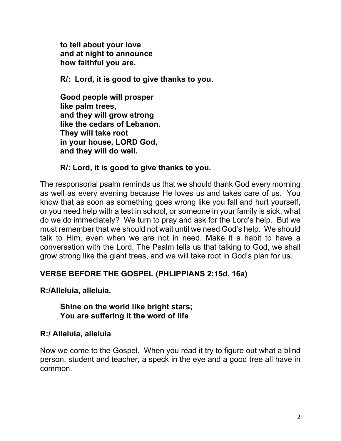to tell about your love and at night to announce how faithful you are.

R/: Lord, it is good to give thanks to you.

Good people will prosper like palm trees, and they will grow strong like the cedars of Lebanon. They will take root in your house, LORD God, and they will do well.

### R/: Lord, it is good to give thanks to you.

The responsorial psalm reminds us that we should thank God every morning as well as every evening because He loves us and takes care of us. You know that as soon as something goes wrong like you fall and hurt yourself, or you need help with a test in school, or someone in your family is sick, what do we do immediately? We turn to pray and ask for the Lord's help. But we must remember that we should not wait until we need God's help. We should talk to Him, even when we are not in need. Make it a habit to have a conversation with the Lord. The Psalm tells us that talking to God, we shall grow strong like the giant trees, and we will take root in God's plan for us.

# VERSE BEFORE THE GOSPEL (PHLIPPIANS 2:15d. 16a)

### R:/Alleluia, alleluia.

#### Shine on the world like bright stars; You are suffering it the word of life

### R:/ Alleluia, alleluia

Now we come to the Gospel. When you read it try to figure out what a blind person, student and teacher, a speck in the eye and a good tree all have in common.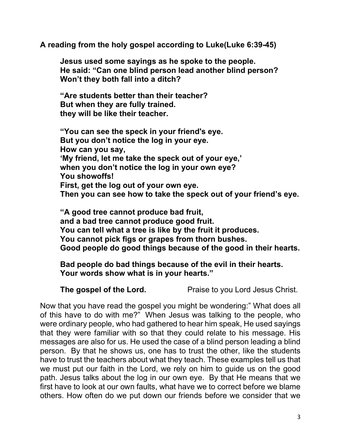A reading from the holy gospel according to Luke(Luke 6:39-45)

Jesus used some sayings as he spoke to the people. He said: "Can one blind person lead another blind person? Won't they both fall into a ditch?

"Are students better than their teacher? But when they are fully trained. they will be like their teacher.

"You can see the speck in your friend's eye. But you don't notice the log in your eye. How can you say, 'My friend, let me take the speck out of your eye,' when you don't notice the log in your own eye? You showoffs! First, get the log out of your own eye. Then you can see how to take the speck out of your friend's eye.

"A good tree cannot produce bad fruit, and a bad tree cannot produce good fruit. You can tell what a tree is like by the fruit it produces. You cannot pick figs or grapes from thorn bushes. Good people do good things because of the good in their hearts.

Bad people do bad things because of the evil in their hearts. Your words show what is in your hearts."

The gospel of the Lord. Praise to you Lord Jesus Christ.

Now that you have read the gospel you might be wondering:" What does all of this have to do with me?" When Jesus was talking to the people, who were ordinary people, who had gathered to hear him speak, He used sayings that they were familiar with so that they could relate to his message. His messages are also for us. He used the case of a blind person leading a blind person. By that he shows us, one has to trust the other, like the students have to trust the teachers about what they teach. These examples tell us that we must put our faith in the Lord, we rely on him to guide us on the good path. Jesus talks about the log in our own eye. By that He means that we first have to look at our own faults, what have we to correct before we blame others. How often do we put down our friends before we consider that we